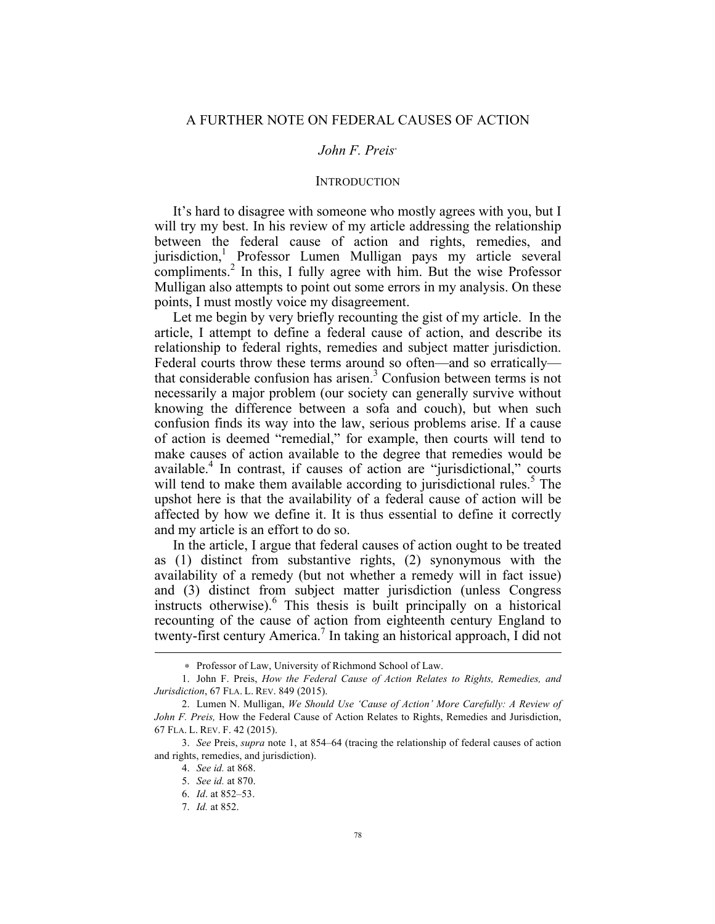# *John F. Preis*<sup>∗</sup>

# **INTRODUCTION**

It's hard to disagree with someone who mostly agrees with you, but I will try my best. In his review of my article addressing the relationship between the federal cause of action and rights, remedies, and jurisdiction,<sup>1</sup> Professor Lumen Mulligan pays my article several compliments.<sup>2</sup> In this, I fully agree with him. But the wise Professor Mulligan also attempts to point out some errors in my analysis. On these points, I must mostly voice my disagreement.

Let me begin by very briefly recounting the gist of my article. In the article, I attempt to define a federal cause of action, and describe its relationship to federal rights, remedies and subject matter jurisdiction. Federal courts throw these terms around so often—and so erratically that considerable confusion has arisen.<sup>3</sup> Confusion between terms is not necessarily a major problem (our society can generally survive without knowing the difference between a sofa and couch), but when such confusion finds its way into the law, serious problems arise. If a cause of action is deemed "remedial," for example, then courts will tend to make causes of action available to the degree that remedies would be available.<sup>4</sup> In contrast, if causes of action are "jurisdictional," courts will tend to make them available according to jurisdictional rules.<sup>5</sup> The upshot here is that the availability of a federal cause of action will be affected by how we define it. It is thus essential to define it correctly and my article is an effort to do so.

In the article, I argue that federal causes of action ought to be treated as (1) distinct from substantive rights, (2) synonymous with the availability of a remedy (but not whether a remedy will in fact issue) and (3) distinct from subject matter jurisdiction (unless Congress instructs otherwise). <sup>6</sup> This thesis is built principally on a historical recounting of the cause of action from eighteenth century England to twenty-first century America.<sup>7</sup> In taking an historical approach, I did not

<u>.</u>

<sup>∗</sup> Professor of Law, University of Richmond School of Law.

<sup>1.</sup> John F. Preis, *How the Federal Cause of Action Relates to Rights, Remedies, and Jurisdiction*, 67 FLA. L. REV. 849 (2015).

<sup>2.</sup> Lumen N. Mulligan, *We Should Use 'Cause of Action' More Carefully: A Review of John F. Preis,* How the Federal Cause of Action Relates to Rights, Remedies and Jurisdiction, 67 FLA. L. REV. F. 42 (2015).

<sup>3.</sup> *See* Preis, *supra* note 1, at 854–64 (tracing the relationship of federal causes of action and rights, remedies, and jurisdiction).

<sup>4.</sup> *See id.* at 868.

<sup>5.</sup> *See id.* at 870.

<sup>6.</sup> *Id*. at 852–53.

<sup>7.</sup> *Id.* at 852.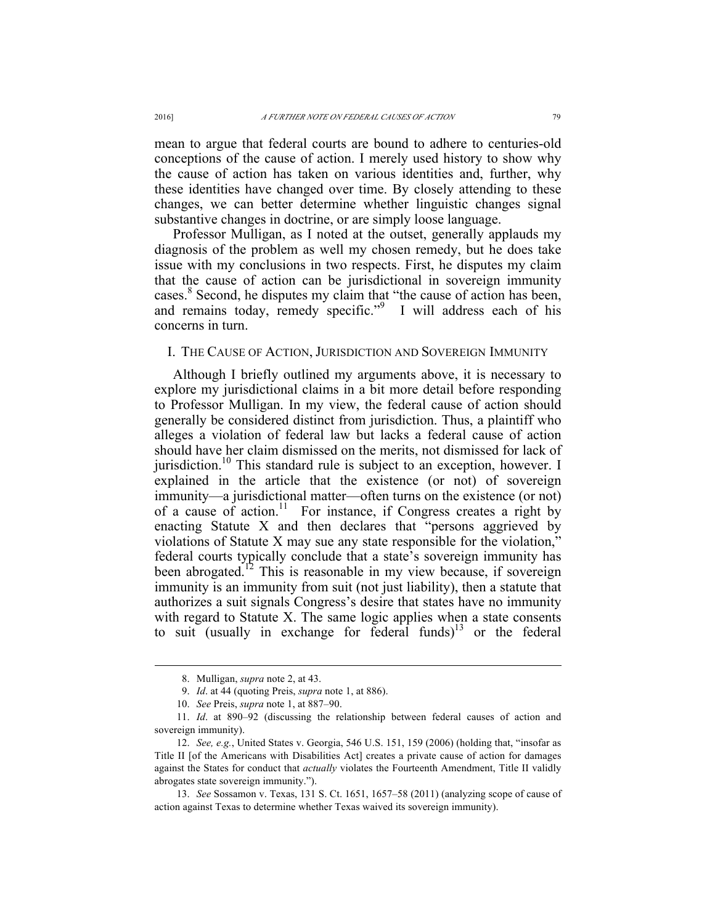mean to argue that federal courts are bound to adhere to centuries-old conceptions of the cause of action. I merely used history to show why the cause of action has taken on various identities and, further, why these identities have changed over time. By closely attending to these changes, we can better determine whether linguistic changes signal substantive changes in doctrine, or are simply loose language.

Professor Mulligan, as I noted at the outset, generally applauds my diagnosis of the problem as well my chosen remedy, but he does take issue with my conclusions in two respects. First, he disputes my claim that the cause of action can be jurisdictional in sovereign immunity cases.<sup>8</sup> Second, he disputes my claim that "the cause of action has been, and remains today, remedy specific."<sup>9</sup> I will address each of his concerns in turn.

#### I. THE CAUSE OF ACTION, JURISDICTION AND SOVEREIGN IMMUNITY

Although I briefly outlined my arguments above, it is necessary to explore my jurisdictional claims in a bit more detail before responding to Professor Mulligan. In my view, the federal cause of action should generally be considered distinct from jurisdiction. Thus, a plaintiff who alleges a violation of federal law but lacks a federal cause of action should have her claim dismissed on the merits, not dismissed for lack of jurisdiction.<sup>10</sup> This standard rule is subject to an exception, however. I explained in the article that the existence (or not) of sovereign immunity—a jurisdictional matter—often turns on the existence (or not) of a cause of action.<sup>11</sup> For instance, if Congress creates a right by enacting Statute X and then declares that "persons aggrieved by violations of Statute X may sue any state responsible for the violation," federal courts typically conclude that a state's sovereign immunity has been abrogated.<sup>12</sup> This is reasonable in my view because, if sovereign immunity is an immunity from suit (not just liability), then a statute that authorizes a suit signals Congress's desire that states have no immunity with regard to Statute X. The same logic applies when a state consents to suit (usually in exchange for federal funds)<sup>13</sup> or the federal

13. *See* Sossamon v. Texas, 131 S. Ct. 1651, 1657–58 (2011) (analyzing scope of cause of action against Texas to determine whether Texas waived its sovereign immunity).

 <sup>8.</sup> Mulligan, *supra* note 2, at 43.

<sup>9.</sup> *Id*. at 44 (quoting Preis, *supra* note 1, at 886).

<sup>10.</sup> *See* Preis, *supra* note 1, at 887–90.

<sup>11.</sup> *Id*. at 890–92 (discussing the relationship between federal causes of action and sovereign immunity).

<sup>12.</sup> *See, e.g.*, United States v. Georgia, 546 U.S. 151, 159 (2006) (holding that, "insofar as Title II [of the Americans with Disabilities Act] creates a private cause of action for damages against the States for conduct that *actually* violates the Fourteenth Amendment, Title II validly abrogates state sovereign immunity.").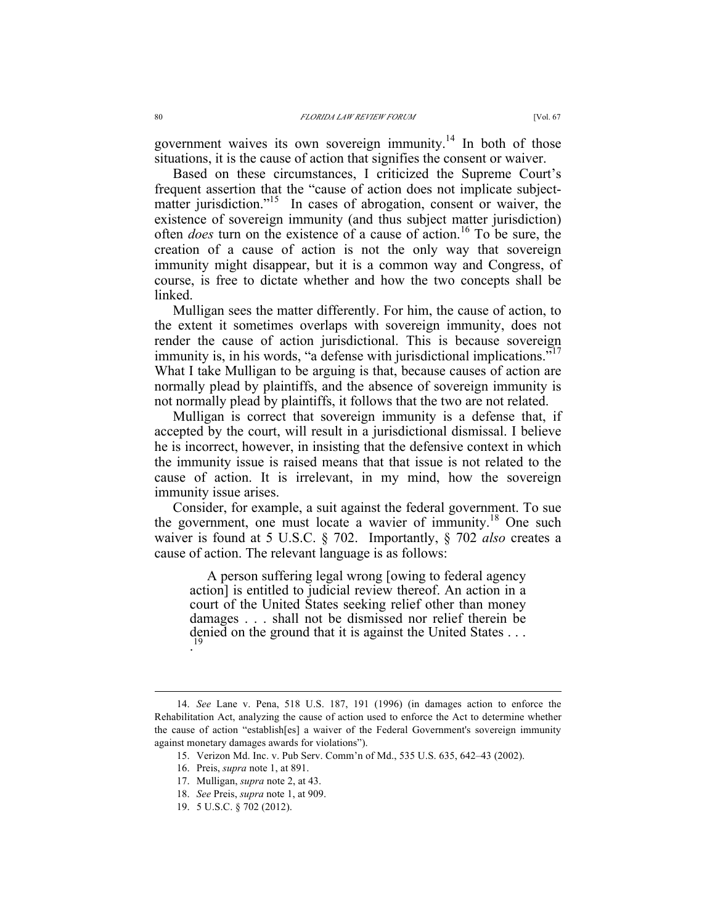government waives its own sovereign immunity.<sup>14</sup> In both of those situations, it is the cause of action that signifies the consent or waiver.

Based on these circumstances, I criticized the Supreme Court's frequent assertion that the "cause of action does not implicate subjectmatter jurisdiction."<sup>15</sup> In cases of abrogation, consent or waiver, the existence of sovereign immunity (and thus subject matter jurisdiction) often *does* turn on the existence of a cause of action.<sup>16</sup> To be sure, the creation of a cause of action is not the only way that sovereign immunity might disappear, but it is a common way and Congress, of course, is free to dictate whether and how the two concepts shall be linked.

Mulligan sees the matter differently. For him, the cause of action, to the extent it sometimes overlaps with sovereign immunity, does not render the cause of action jurisdictional. This is because sovereign immunity is, in his words, "a defense with jurisdictional implications."<sup>17</sup> What I take Mulligan to be arguing is that, because causes of action are normally plead by plaintiffs, and the absence of sovereign immunity is not normally plead by plaintiffs, it follows that the two are not related.

Mulligan is correct that sovereign immunity is a defense that, if accepted by the court, will result in a jurisdictional dismissal. I believe he is incorrect, however, in insisting that the defensive context in which the immunity issue is raised means that that issue is not related to the cause of action. It is irrelevant, in my mind, how the sovereign immunity issue arises.

Consider, for example, a suit against the federal government. To sue the government, one must locate a wavier of immunity.<sup>18</sup> One such waiver is found at 5 U.S.C. § 702. Importantly, § 702 *also* creates a cause of action. The relevant language is as follows:

A person suffering legal wrong [owing to federal agency action] is entitled to judicial review thereof. An action in a court of the United States seeking relief other than money damages . . . shall not be dismissed nor relief therein be denied on the ground that it is against the United States . . . .

 <sup>14.</sup> *See* Lane v. Pena, 518 U.S. 187, 191 (1996) (in damages action to enforce the Rehabilitation Act, analyzing the cause of action used to enforce the Act to determine whether the cause of action "establish[es] a waiver of the Federal Government's sovereign immunity against monetary damages awards for violations").

<sup>15.</sup> Verizon Md. Inc. v. Pub Serv. Comm'n of Md., 535 U.S. 635, 642–43 (2002).

<sup>16.</sup> Preis, *supra* note 1, at 891.

<sup>17.</sup> Mulligan, *supra* note 2, at 43.

<sup>18.</sup> *See* Preis, *supra* note 1, at 909.

<sup>19.</sup> 5 U.S.C. § 702 (2012).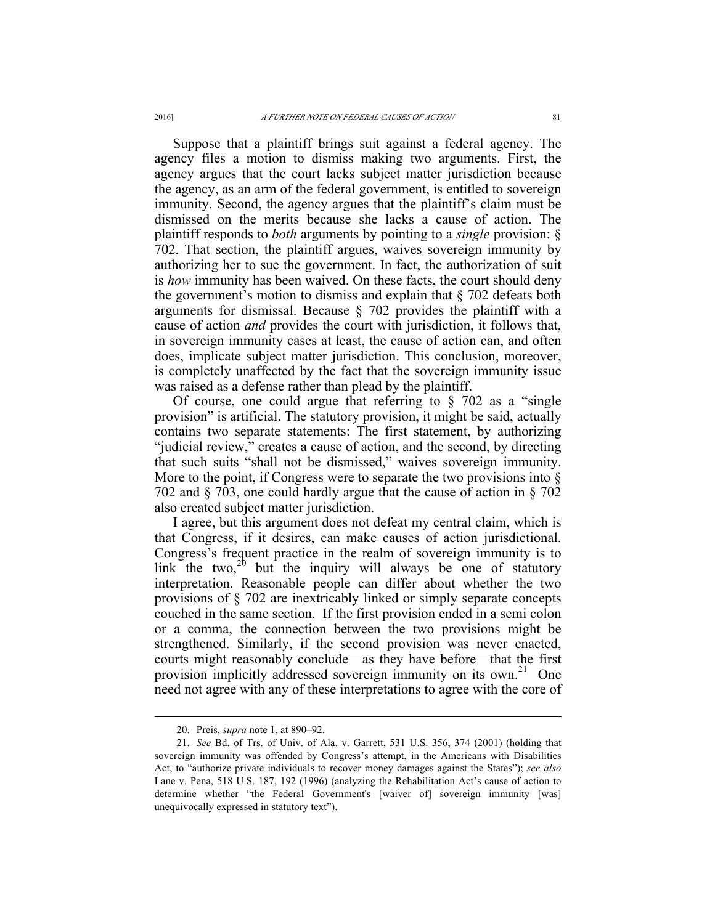Suppose that a plaintiff brings suit against a federal agency. The agency files a motion to dismiss making two arguments. First, the agency argues that the court lacks subject matter jurisdiction because the agency, as an arm of the federal government, is entitled to sovereign immunity. Second, the agency argues that the plaintiff's claim must be dismissed on the merits because she lacks a cause of action. The plaintiff responds to *both* arguments by pointing to a *single* provision: § 702. That section, the plaintiff argues, waives sovereign immunity by authorizing her to sue the government. In fact, the authorization of suit is *how* immunity has been waived. On these facts, the court should deny the government's motion to dismiss and explain that § 702 defeats both arguments for dismissal. Because § 702 provides the plaintiff with a cause of action *and* provides the court with jurisdiction, it follows that, in sovereign immunity cases at least, the cause of action can, and often does, implicate subject matter jurisdiction. This conclusion, moreover, is completely unaffected by the fact that the sovereign immunity issue was raised as a defense rather than plead by the plaintiff.

Of course, one could argue that referring to  $\S$  702 as a "single" provision" is artificial. The statutory provision, it might be said, actually contains two separate statements: The first statement, by authorizing "judicial review," creates a cause of action, and the second, by directing that such suits "shall not be dismissed," waives sovereign immunity. More to the point, if Congress were to separate the two provisions into  $\S$ 702 and § 703, one could hardly argue that the cause of action in § 702 also created subject matter jurisdiction.

I agree, but this argument does not defeat my central claim, which is that Congress, if it desires, can make causes of action jurisdictional. Congress's frequent practice in the realm of sovereign immunity is to link the two,<sup>20</sup> but the inquiry will always be one of statutory interpretation. Reasonable people can differ about whether the two provisions of § 702 are inextricably linked or simply separate concepts couched in the same section. If the first provision ended in a semi colon or a comma, the connection between the two provisions might be strengthened. Similarly, if the second provision was never enacted, courts might reasonably conclude—as they have before—that the first provision implicitly addressed sovereign immunity on its own.<sup>21</sup> One need not agree with any of these interpretations to agree with the core of

 <sup>20.</sup> Preis, *supra* note 1, at 890–92.

<sup>21.</sup> *See* Bd. of Trs. of Univ. of Ala. v. Garrett, 531 U.S. 356, 374 (2001) (holding that sovereign immunity was offended by Congress's attempt, in the Americans with Disabilities Act, to "authorize private individuals to recover money damages against the States"); *see also*  Lane v. Pena, 518 U.S. 187, 192 (1996) (analyzing the Rehabilitation Act's cause of action to determine whether "the Federal Government's [waiver of] sovereign immunity [was] unequivocally expressed in statutory text").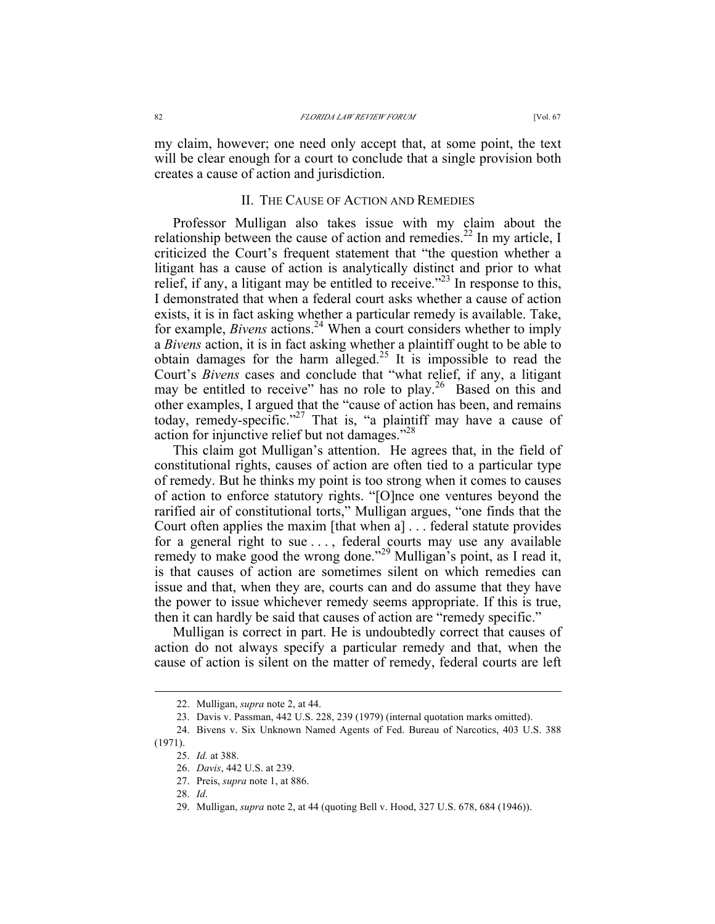my claim, however; one need only accept that, at some point, the text will be clear enough for a court to conclude that a single provision both creates a cause of action and jurisdiction.

## II. THE CAUSE OF ACTION AND REMEDIES

Professor Mulligan also takes issue with my claim about the relationship between the cause of action and remedies.<sup>22</sup> In my article, I criticized the Court's frequent statement that "the question whether a litigant has a cause of action is analytically distinct and prior to what relief, if any, a litigant may be entitled to receive.<sup> $22$ </sup> In response to this, I demonstrated that when a federal court asks whether a cause of action exists, it is in fact asking whether a particular remedy is available. Take, for example, *Bivens* actions.<sup>24</sup> When a court considers whether to imply a *Bivens* action, it is in fact asking whether a plaintiff ought to be able to obtain damages for the harm alleged.<sup>25</sup> It is impossible to read the Court's *Bivens* cases and conclude that "what relief, if any, a litigant may be entitled to receive" has no role to play.<sup>26</sup> Based on this and other examples, I argued that the "cause of action has been, and remains today, remedy-specific."<sup>27</sup> That is, "a plaintiff may have a cause of action for injunctive relief but not damages."28

This claim got Mulligan's attention. He agrees that, in the field of constitutional rights, causes of action are often tied to a particular type of remedy. But he thinks my point is too strong when it comes to causes of action to enforce statutory rights. "[O]nce one ventures beyond the rarified air of constitutional torts," Mulligan argues, "one finds that the Court often applies the maxim [that when a] . . . federal statute provides for a general right to sue . . . , federal courts may use any available remedy to make good the wrong done."<sup>29</sup> Mulligan's point, as I read it, is that causes of action are sometimes silent on which remedies can issue and that, when they are, courts can and do assume that they have the power to issue whichever remedy seems appropriate. If this is true, then it can hardly be said that causes of action are "remedy specific."

Mulligan is correct in part. He is undoubtedly correct that causes of action do not always specify a particular remedy and that, when the cause of action is silent on the matter of remedy, federal courts are left

 <sup>22.</sup> Mulligan, *supra* note 2, at 44.

<sup>23.</sup> Davis v. Passman, 442 U.S. 228, 239 (1979) (internal quotation marks omitted).

<sup>24.</sup> Bivens v. Six Unknown Named Agents of Fed. Bureau of Narcotics, 403 U.S. 388 (1971).

<sup>25.</sup> *Id.* at 388.

<sup>26.</sup> *Davis*, 442 U.S. at 239.

<sup>27.</sup> Preis, *supra* note 1, at 886.

<sup>28.</sup> *Id*.

<sup>29.</sup> Mulligan, *supra* note 2, at 44 (quoting Bell v. Hood, 327 U.S. 678, 684 (1946)).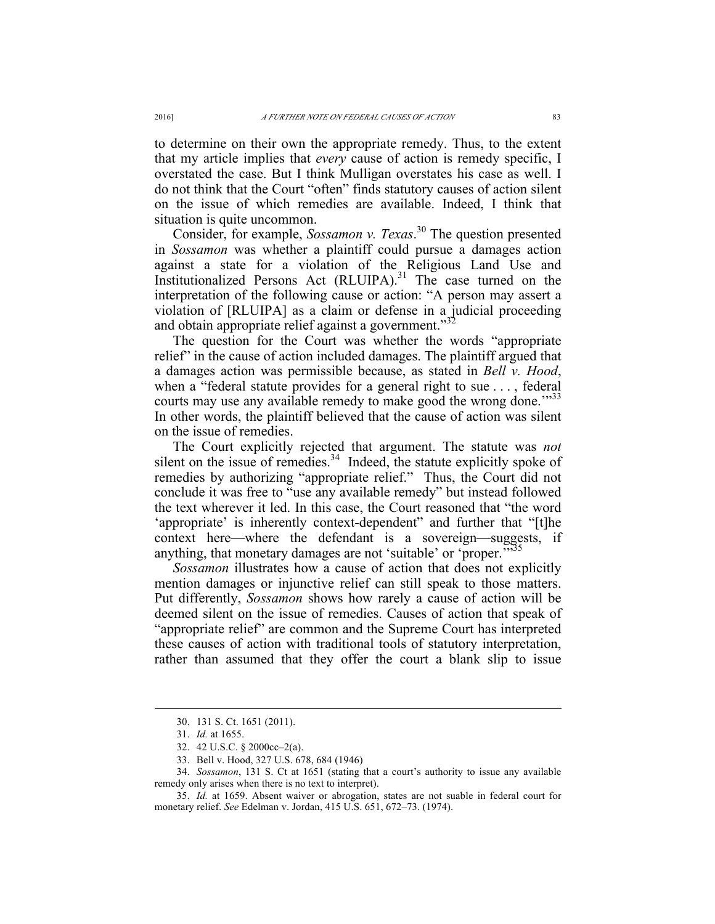to determine on their own the appropriate remedy. Thus, to the extent that my article implies that *every* cause of action is remedy specific, I overstated the case. But I think Mulligan overstates his case as well. I do not think that the Court "often" finds statutory causes of action silent on the issue of which remedies are available. Indeed, I think that situation is quite uncommon.

Consider, for example, *Sossamon v. Texas*. <sup>30</sup> The question presented in *Sossamon* was whether a plaintiff could pursue a damages action against a state for a violation of the Religious Land Use and Institutionalized Persons Act  $(RLUUPA)^{31}$  The case turned on the interpretation of the following cause or action: "A person may assert a violation of [RLUIPA] as a claim or defense in a judicial proceeding and obtain appropriate relief against a government." $32$ 

The question for the Court was whether the words "appropriate relief" in the cause of action included damages. The plaintiff argued that a damages action was permissible because, as stated in *Bell v. Hood*, when a "federal statute provides for a general right to sue . . . , federal courts may use any available remedy to make good the wrong done."<sup>33</sup> In other words, the plaintiff believed that the cause of action was silent on the issue of remedies.

The Court explicitly rejected that argument. The statute was *not* silent on the issue of remedies. $34$  Indeed, the statute explicitly spoke of remedies by authorizing "appropriate relief." Thus, the Court did not conclude it was free to "use any available remedy" but instead followed the text wherever it led. In this case, the Court reasoned that "the word 'appropriate' is inherently context-dependent" and further that "[t]he context here—where the defendant is a sovereign—suggests, if anything, that monetary damages are not 'suitable' or 'proper.<sup>355</sup>

*Sossamon* illustrates how a cause of action that does not explicitly mention damages or injunctive relief can still speak to those matters. Put differently, *Sossamon* shows how rarely a cause of action will be deemed silent on the issue of remedies. Causes of action that speak of "appropriate relief" are common and the Supreme Court has interpreted these causes of action with traditional tools of statutory interpretation, rather than assumed that they offer the court a blank slip to issue

 <sup>30.</sup> 131 S. Ct. 1651 (2011).

<sup>31.</sup> *Id.* at 1655.

<sup>32.</sup> 42 U.S.C. § 2000cc–2(a).

<sup>33.</sup> Bell v. Hood, 327 U.S. 678, 684 (1946)

<sup>34.</sup> *Sossamon*, 131 S. Ct at 1651 (stating that a court's authority to issue any available remedy only arises when there is no text to interpret).

<sup>35.</sup> *Id.* at 1659. Absent waiver or abrogation, states are not suable in federal court for monetary relief. *See* Edelman v. Jordan, 415 U.S. 651, 672–73. (1974).